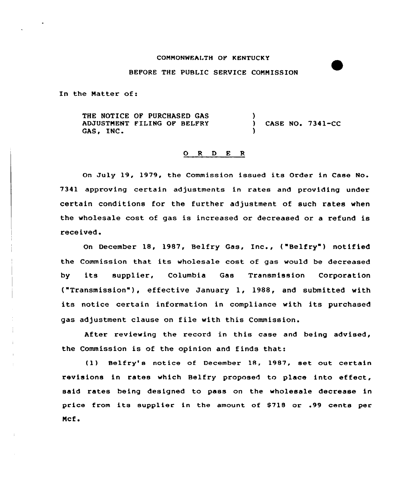#### CQNNQNMEALTH QF KENTUCKY

### BEFORE THE PUBLIC SERVICE COMMISSION

In the Natter of:

THE NOTICE OF PURCHASED GAS ADJUSTMENT FILING OF BELFRY GAS, INC. ) CASE NO. 7341-CC )

### 0 <sup>R</sup> <sup>D</sup> <sup>E</sup> <sup>R</sup>

On July 19, 1979, the Commission issued its Order in Case No. 7341 approving certain adjustments in rates and providing under certain conditions for the further adjustment of such rates when the wholesale cost of gas is increased or decreased or a refund is received.

On December 18, 1987, Belfry Gas, Inc., ("Belfry") notified the Commission that its wholesale cost of gas would be decreased by its supplier, Columbia Gas Transmission Corporation ("Transmission" ), effective January 1, 1988, and submitted with its notice certain information in compliance with its purchased gas adjustment clause on file with this Commission.

After reviewing the record in this case and being advised, the Commission is of the opinion and finds that:

(1) Belfry's notice of December 18, 1987, set out certain revisions in rates which Belfry proposed to place into effect, said rates being designed to pass on the wholesale decrease in price from its supplier in the amount of \$718 or .99 cents per Mcf.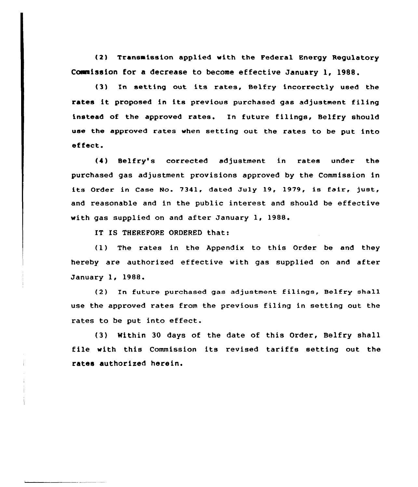(2) Transmission applied with the Federal Energy Regulatory Cowaission for a decrease to become effective January 1, 1988.

(3) In setting out its rates, Belfry incorrectly used the rates it proposed in its previous purchased gas adjustment filing instead of the approved rates. In future filings, Belfry should use the approved rates when setting out the rates to be put into effect.

(I) Belfry's corrected adjustment in rates under the purchased gas adjustment provisions approved by the Commission in its Order in Case No. 7341, dated July 19, 1979, is fair, just, and reasonable and in the public interest and should be effective with gas supplied on and after January 1, 1988.

IT IS THEREFORE ORDERED that:

(1) The rates in the Appendix to this Order be and they hereby are authorized effective with gas supplied on and after January 1, 1988.

(2) In future purchased gas adjustment filings, Belfry shall use the approved rates from the previous filing in setting out the rates to be put into effect.

(3) Within 30 days of the date of this Order, Belfry shall file with this Commission its revised tariffs setting out the rates authorized herein.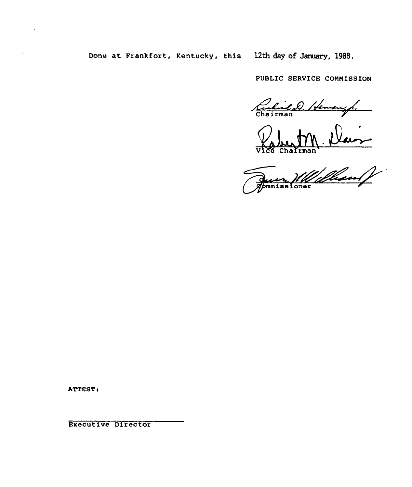# Done at Frankfort, Kentucky, this 12th day of January, 1988.

PUBLIC SERVICE CONNISSION

Rubrico 1 de

 $\Delta$ **'rman** 

n'<br>Uillisean f Juice 1110

ATTEST:

Executive Director